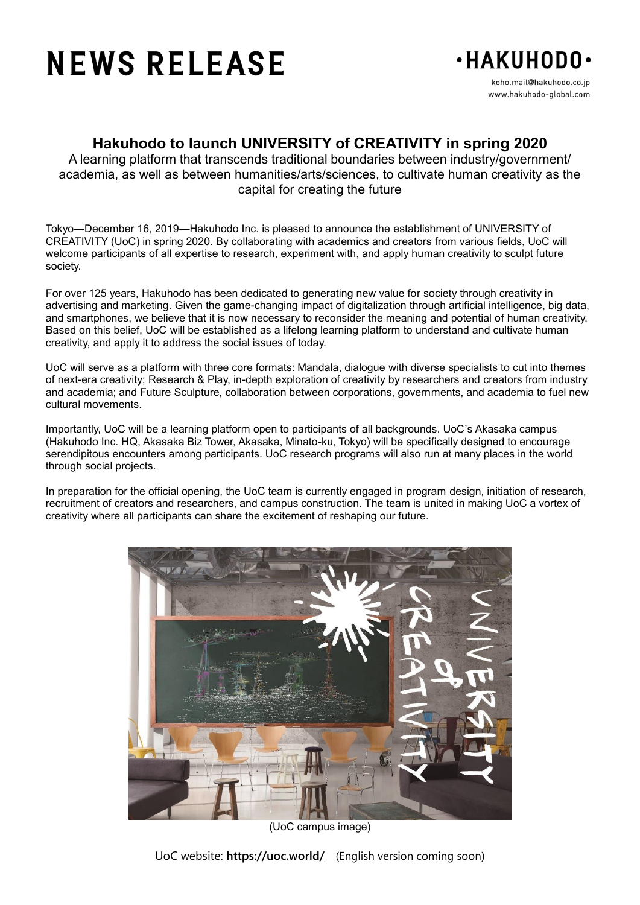# **NEWS RELEASE**



www.hakuhodo-global.com

## **Hakuhodo to launch UNIVERSITY of CREATIVITY in spring 2020**

A learning platform that transcends traditional boundaries between industry/government/ academia, as well as between humanities/arts/sciences, to cultivate human creativity as the capital for creating the future

Tokyo—December 16, 2019—Hakuhodo Inc. is pleased to announce the establishment of UNIVERSITY of CREATIVITY (UoC) in spring 2020. By collaborating with academics and creators from various fields, UoC will welcome participants of all expertise to research, experiment with, and apply human creativity to sculpt future society.

For over 125 years, Hakuhodo has been dedicated to generating new value for society through creativity in advertising and marketing. Given the game-changing impact of digitalization through artificial intelligence, big data, and smartphones, we believe that it is now necessary to reconsider the meaning and potential of human creativity. Based on this belief, UoC will be established as a lifelong learning platform to understand and cultivate human creativity, and apply it to address the social issues of today.

UoC will serve as a platform with three core formats: Mandala, dialogue with diverse specialists to cut into themes of next-era creativity; Research & Play, in-depth exploration of creativity by researchers and creators from industry and academia; and Future Sculpture, collaboration between corporations, governments, and academia to fuel new cultural movements.

Importantly, UoC will be a learning platform open to participants of all backgrounds. UoC's Akasaka campus (Hakuhodo Inc. HQ, Akasaka Biz Tower, Akasaka, Minato-ku, Tokyo) will be specifically designed to encourage serendipitous encounters among participants. UoC research programs will also run at many places in the world through social projects.

In preparation for the official opening, the UoC team is currently engaged in program design, initiation of research, recruitment of creators and researchers, and campus construction. The team is united in making UoC a vortex of creativity where all participants can share the excitement of reshaping our future.



(UoC campus image)

UoC website: **https://uoc.world/** (English version coming soon)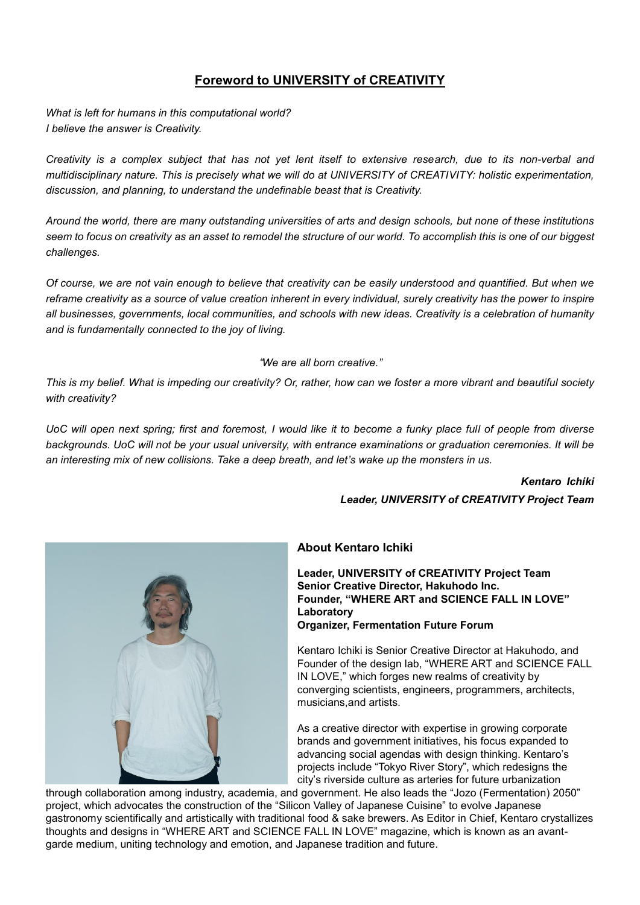## **Foreword to UNIVERSITY of CREATIVITY**

*What is left for humans in this computational world? I believe the answer is Creativity.*

*Creativity is a complex subject that has not yet lent itself to extensive research, due to its non-verbal and multidisciplinary nature. This is precisely what we will do at UNIVERSITY of CREATIVITY: holistic experimentation, discussion, and planning, to understand the undefinable beast that is Creativity.*

*Around the world, there are many outstanding universities of arts and design schools, but none of these institutions seem to focus on creativity as an asset to remodel the structure of our world. To accomplish this is one of our biggest challenges.*

*Of course, we are not vain enough to believe that creativity can be easily understood and quantified. But when we reframe creativity as a source of value creation inherent in every individual, surely creativity has the power to inspire all businesses, governments, local communities, and schools with new ideas. Creativity is a celebration of humanity and is fundamentally connected to the joy of living.*

#### "*We are all born creative."*

*This is my belief. What is impeding our creativity? Or, rather, how can we foster a more vibrant and beautiful society with creativity?*

*UoC will open next spring; first and foremost, I would like it to become a funky place full of people from diverse backgrounds. UoC will not be your usual university, with entrance examinations or graduation ceremonies. It will be an interesting mix of new collisions. Take a deep breath, and let's wake up the monsters in us.*

#### *Kentaro Ichiki*

*Leader, UNIVERSITY of CREATIVITY Project Team*



### **About Kentaro Ichiki**

**Leader, UNIVERSITY of CREATIVITY Project Team Senior Creative Director, Hakuhodo Inc. Founder, "WHERE ART and SCIENCE FALL IN LOVE" Laboratory Organizer, Fermentation Future Forum**

Kentaro Ichiki is Senior Creative Director at Hakuhodo, and Founder of the design lab, "WHERE ART and SCIENCE FALL IN LOVE," which forges new realms of creativity by converging scientists, engineers, programmers, architects, musicians,and artists.

As a creative director with expertise in growing corporate brands and government initiatives, his focus expanded to advancing social agendas with design thinking. Kentaro's projects include "Tokyo River Story", which redesigns the city's riverside culture as arteries for future urbanization

through collaboration among industry, academia, and government. He also leads the "Jozo (Fermentation) 2050" project, which advocates the construction of the "Silicon Valley of Japanese Cuisine" to evolve Japanese gastronomy scientifically and artistically with traditional food & sake brewers. As Editor in Chief, Kentaro crystallizes thoughts and designs in "WHERE ART and SCIENCE FALL IN LOVE" magazine, which is known as an avantgarde medium, uniting technology and emotion, and Japanese tradition and future.